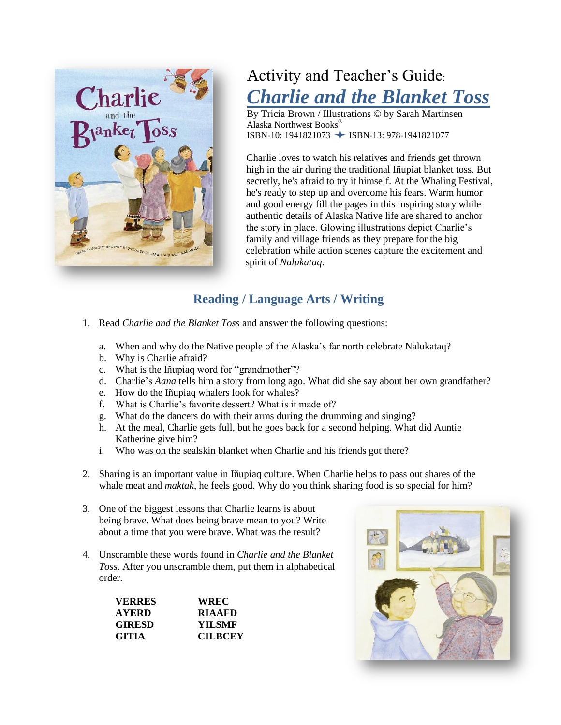

# Activity and Teacher's Guide: *Charlie and the Blanket Toss*

By Tricia Brown / Illustrations © by Sarah Martinsen Alaska Northwest Books® ISBN-10: 1941821073 → ISBN-13: 978-1941821077

Charlie loves to watch his relatives and friends get thrown high in the air during the traditional Iñupiat blanket toss. But secretly, he's afraid to try it himself. At the Whaling Festival, he's ready to step up and overcome his fears. Warm humor and good energy fill the pages in this inspiring story while authentic details of Alaska Native life are shared to anchor the story in place. Glowing illustrations depict Charlie's family and village friends as they prepare for the big celebration while action scenes capture the excitement and spirit of *Nalukataq*.

# **Reading / Language Arts / Writing**

- 1. Read *Charlie and the Blanket Toss* and answer the following questions:
	- a. When and why do the Native people of the Alaska's far north celebrate Nalukataq?
	- b. Why is Charlie afraid?
	- c. What is the Iñupiaq word for "grandmother"?
	- d. Charlie's *Aana* tells him a story from long ago. What did she say about her own grandfather?
	- e. How do the Iñupiaq whalers look for whales?
	- f. What is Charlie's favorite dessert? What is it made of?
	- g. What do the dancers do with their arms during the drumming and singing?
	- h. At the meal, Charlie gets full, but he goes back for a second helping. What did Auntie Katherine give him?
	- i. Who was on the sealskin blanket when Charlie and his friends got there?
- 2. Sharing is an important value in Iñupiaq culture. When Charlie helps to pass out shares of the whale meat and *maktak*, he feels good. Why do you think sharing food is so special for him?
- 3. One of the biggest lessons that Charlie learns is about being brave. What does being brave mean to you? Write about a time that you were brave. What was the result?
- 4. Unscramble these words found in *Charlie and the Blanket Toss*. After you unscramble them, put them in alphabetical order.

| <b>VERRES</b> | <b>WREC</b>    |
|---------------|----------------|
| <b>AYERD</b>  | <b>RIAAFD</b>  |
| <b>GIRESD</b> | <b>YILSMF</b>  |
| <b>GITIA</b>  | <b>CILBCEY</b> |

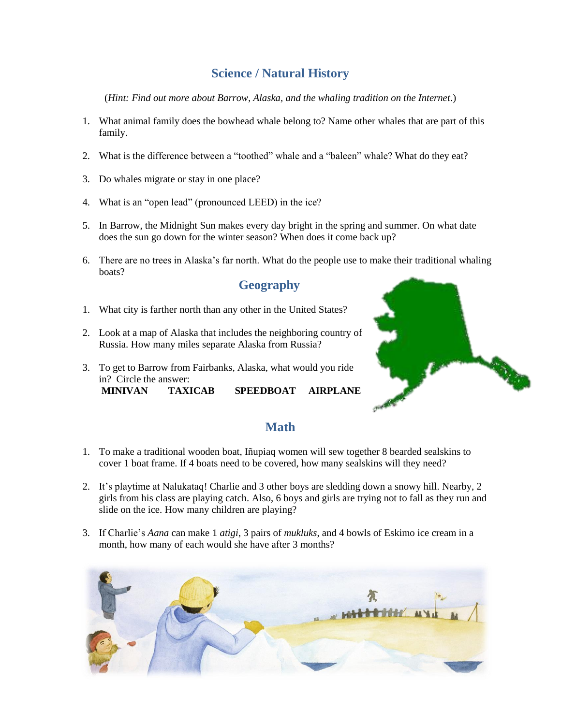# **Science / Natural History**

(*Hint: Find out more about Barrow, Alaska, and the whaling tradition on the Internet*.)

- 1. What animal family does the bowhead whale belong to? Name other whales that are part of this family.
- 2. What is the difference between a "toothed" whale and a "baleen" whale? What do they eat?
- 3. Do whales migrate or stay in one place?
- 4. What is an "open lead" (pronounced LEED) in the ice?
- 5. In Barrow, the Midnight Sun makes every day bright in the spring and summer. On what date does the sun go down for the winter season? When does it come back up?
- 6. There are no trees in Alaska's far north. What do the people use to make their traditional whaling boats?

#### **Geography**

- 1. What city is farther north than any other in the United States?
- 2. Look at a map of Alaska that includes the neighboring country of Russia. How many miles separate Alaska from Russia?
- 3. To get to Barrow from Fairbanks, Alaska, what would you ride in? Circle the answer: **MINIVAN TAXICAB SPEEDBOAT AIRPLANE**



## **Math**

- 1. To make a traditional wooden boat, Iñupiaq women will sew together 8 bearded sealskins to cover 1 boat frame. If 4 boats need to be covered, how many sealskins will they need?
- 2. It's playtime at Nalukataq! Charlie and 3 other boys are sledding down a snowy hill. Nearby, 2 girls from his class are playing catch. Also, 6 boys and girls are trying not to fall as they run and slide on the ice. How many children are playing?
- 3. If Charlie's *Aana* can make 1 *atigi*, 3 pairs of *mukluks*, and 4 bowls of Eskimo ice cream in a month, how many of each would she have after 3 months?

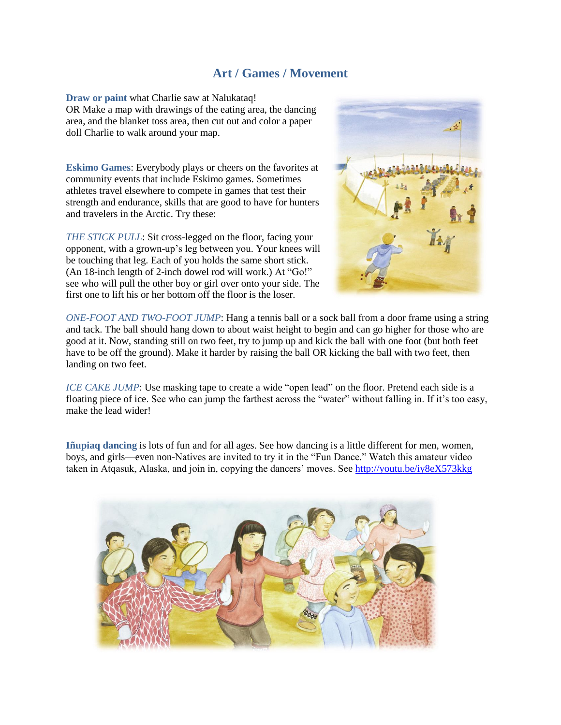#### **Art / Games / Movement**

**Draw or paint** what Charlie saw at Nalukataq! OR Make a map with drawings of the eating area, the dancing area, and the blanket toss area, then cut out and color a paper doll Charlie to walk around your map.

**Eskimo Games**: Everybody plays or cheers on the favorites at community events that include Eskimo games. Sometimes athletes travel elsewhere to compete in games that test their strength and endurance, skills that are good to have for hunters and travelers in the Arctic. Try these:

*THE STICK PULL*: Sit cross-legged on the floor, facing your opponent, with a grown-up's leg between you. Your knees will be touching that leg. Each of you holds the same short stick. (An 18-inch length of 2-inch dowel rod will work.) At "Go!" see who will pull the other boy or girl over onto your side. The first one to lift his or her bottom off the floor is the loser.



*ONE-FOOT AND TWO-FOOT JUMP*: Hang a tennis ball or a sock ball from a door frame using a string and tack. The ball should hang down to about waist height to begin and can go higher for those who are good at it. Now, standing still on two feet, try to jump up and kick the ball with one foot (but both feet have to be off the ground). Make it harder by raising the ball OR kicking the ball with two feet, then landing on two feet.

*ICE CAKE JUMP*: Use masking tape to create a wide "open lead" on the floor. Pretend each side is a floating piece of ice. See who can jump the farthest across the "water" without falling in. If it's too easy, make the lead wider!

**Iñupiaq dancing** is lots of fun and for all ages. See how dancing is a little different for men, women, boys, and girls—even non-Natives are invited to try it in the "Fun Dance." Watch this amateur video taken in Atqasuk, Alaska, and join in, copying the dancers' moves. See <http://youtu.be/iy8eX573kkg>